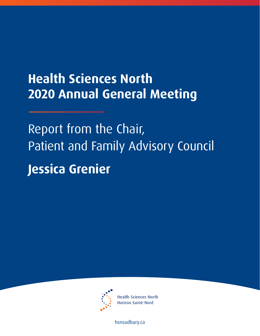## **Health Sciences North 2020 Annual General Meeting**

Report from the Chair, Patient and Family Advisory Council **Jessica Grenier**



**Health Sciences North** Horizon Santé-Nord

[hsnsudbury.ca](www.hsnsudbury.ca)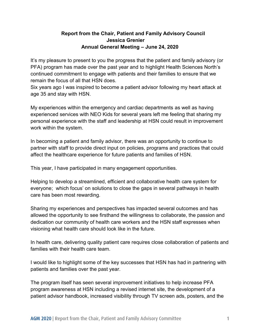## **Report from the Chair, Patient and Family Advisory Council Jessica Grenier Annual General Meeting – June 24, 2020**

It's my pleasure to present to you the progress that the patient and family advisory (or PFA) program has made over the past year and to highlight Health Sciences North's continued commitment to engage with patients and their families to ensure that we remain the focus of all that HSN does.

Six years ago I was inspired to become a patient advisor following my heart attack at age 35 and stay with HSN.

My experiences within the emergency and cardiac departments as well as having experienced services with NEO Kids for several years left me feeling that sharing my personal experience with the staff and leadership at HSN could result in improvement work within the system.

In becoming a patient and family advisor, there was an opportunity to continue to partner with staff to provide direct input on policies, programs and practices that could affect the healthcare experience for future patients and families of HSN.

This year, I have participated in many engagement opportunities.

Helping to develop a streamlined, efficient and collaborative health care system for everyone; which focus' on solutions to close the gaps in several pathways in health care has been most rewarding.

Sharing my experiences and perspectives has impacted several outcomes and has allowed the opportunity to see firsthand the willingness to collaborate, the passion and dedication our community of health care workers and the HSN staff expresses when visioning what health care should look like in the future.

In health care, delivering quality patient care requires close collaboration of patients and families with their health care team.

I would like to highlight some of the key successes that HSN has had in partnering with patients and families over the past year.

The program itself has seen several improvement initiatives to help increase PFA program awareness at HSN including a revised internet site, the development of a patient advisor handbook, increased visibility through TV screen ads, posters, and the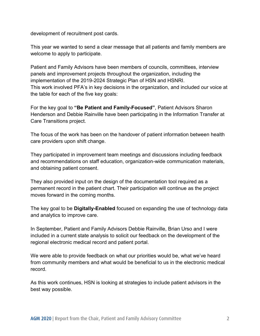development of recruitment post cards.

This year we wanted to send a clear message that all patients and family members are welcome to apply to participate.

Patient and Family Advisors have been members of councils, committees, interview panels and improvement projects throughout the organization, including the implementation of the 2019-2024 Strategic Plan of HSN and HSNRI. This work involved PFA's in key decisions in the organization, and included our voice at the table for each of the five key goals:

For the key goal to **"Be Patient and Family-Focused"**, Patient Advisors Sharon Henderson and Debbie Rainville have been participating in the Information Transfer at Care Transitions project.

The focus of the work has been on the handover of patient information between health care providers upon shift change.

They participated in improvement team meetings and discussions including feedback and recommendations on staff education, organization-wide communication materials, and obtaining patient consent.

They also provided input on the design of the documentation tool required as a permanent record in the patient chart. Their participation will continue as the project moves forward in the coming months.

The key goal to be **Digitally-Enabled** focused on expanding the use of technology data and analytics to improve care.

In September, Patient and Family Advisors Debbie Rainville, Brian Urso and I were included in a current state analysis to solicit our feedback on the development of the regional electronic medical record and patient portal.

We were able to provide feedback on what our priorities would be, what we've heard from community members and what would be beneficial to us in the electronic medical record.

As this work continues, HSN is looking at strategies to include patient advisors in the best way possible.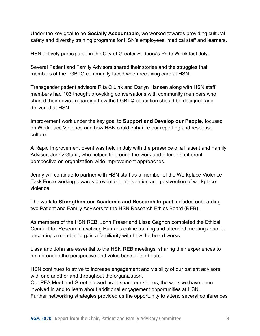Under the key goal to be **Socially Accountable**, we worked towards providing cultural safety and diversity training programs for HSN's employees, medical staff and learners.

HSN actively participated in the City of Greater Sudbury's Pride Week last July.

Several Patient and Family Advisors shared their stories and the struggles that members of the LGBTQ community faced when receiving care at HSN.

Transgender patient advisors Rita O'Link and Darlyn Hansen along with HSN staff members had 103 thought provoking conversations with community members who shared their advice regarding how the LGBTQ education should be designed and delivered at HSN.

Improvement work under the key goal to **Support and Develop our People**, focused on Workplace Violence and how HSN could enhance our reporting and response culture.

A Rapid Improvement Event was held in July with the presence of a Patient and Family Advisor, Jenny Glanz, who helped to ground the work and offered a different perspective on organization-wide improvement approaches.

Jenny will continue to partner with HSN staff as a member of the Workplace Violence Task Force working towards prevention, intervention and postvention of workplace violence.

The work to **Strengthen our Academic and Research Impact** included onboarding two Patient and Family Advisors to the HSN Research Ethics Board (REB).

As members of the HSN REB, John Fraser and Lissa Gagnon completed the Ethical Conduct for Research Involving Humans online training and attended meetings prior to becoming a member to gain a familiarity with how the board works.

Lissa and John are essential to the HSN REB meetings, sharing their experiences to help broaden the perspective and value base of the board.

HSN continues to strive to increase engagement and visibility of our patient advisors with one another and throughout the organization.

Our PFA Meet and Greet allowed us to share our stories, the work we have been involved in and to learn about additional engagement opportunities at HSN. Further networking strategies provided us the opportunity to attend several conferences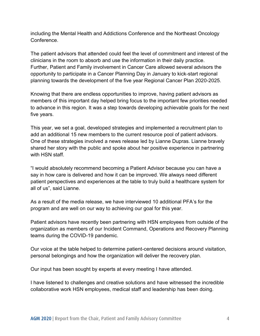including the Mental Health and Addictions Conference and the Northeast Oncology Conference.

The patient advisors that attended could feel the level of commitment and interest of the clinicians in the room to absorb and use the information in their daily practice. Further, Patient and Family involvement in Cancer Care allowed several advisors the opportunity to participate in a Cancer Planning Day in January to kick-start regional planning towards the development of the five year Regional Cancer Plan 2020-2025.

Knowing that there are endless opportunities to improve, having patient advisors as members of this important day helped bring focus to the important few priorities needed to advance in this region. It was a step towards developing achievable goals for the next five years.

This year, we set a goal, developed strategies and implemented a recruitment plan to add an additional 15 new members to the current resource pool of patient advisors. One of these strategies involved a news release led by Lianne Dupras. Lianne bravely shared her story with the public and spoke about her positive experience in partnering with HSN staff.

"I would absolutely recommend becoming a Patient Advisor because you can have a say in how care is delivered and how it can be improved. We always need different patient perspectives and experiences at the table to truly build a healthcare system for all of us", said Lianne.

As a result of the media release, we have interviewed 10 additional PFA's for the program and are well on our way to achieving our goal for this year.

Patient advisors have recently been partnering with HSN employees from outside of the organization as members of our Incident Command, Operations and Recovery Planning teams during the COVID-19 pandemic.

Our voice at the table helped to determine patient-centered decisions around visitation, personal belongings and how the organization will deliver the recovery plan.

Our input has been sought by experts at every meeting I have attended.

I have listened to challenges and creative solutions and have witnessed the incredible collaborative work HSN employees, medical staff and leadership has been doing.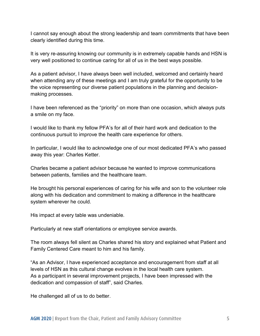I cannot say enough about the strong leadership and team commitments that have been clearly identified during this time.

It is very re-assuring knowing our community is in extremely capable hands and HSN is very well positioned to continue caring for all of us in the best ways possible.

As a patient advisor, I have always been well included, welcomed and certainly heard when attending any of these meetings and I am truly grateful for the opportunity to be the voice representing our diverse patient populations in the planning and decisionmaking processes.

I have been referenced as the "priority" on more than one occasion, which always puts a smile on my face.

I would like to thank my fellow PFA's for all of their hard work and dedication to the continuous pursuit to improve the health care experience for others.

In particular, I would like to acknowledge one of our most dedicated PFA's who passed away this year: Charles Ketter.

Charles became a patient advisor because he wanted to improve communications between patients, families and the healthcare team.

He brought his personal experiences of caring for his wife and son to the volunteer role along with his dedication and commitment to making a difference in the healthcare system wherever he could.

His impact at every table was undeniable.

Particularly at new staff orientations or employee service awards.

The room always fell silent as Charles shared his story and explained what Patient and Family Centered Care meant to him and his family.

"As an Advisor, I have experienced acceptance and encouragement from staff at all levels of HSN as this cultural change evolves in the local health care system. As a participant in several improvement projects, I have been impressed with the dedication and compassion of staff", said Charles.

He challenged all of us to do better.